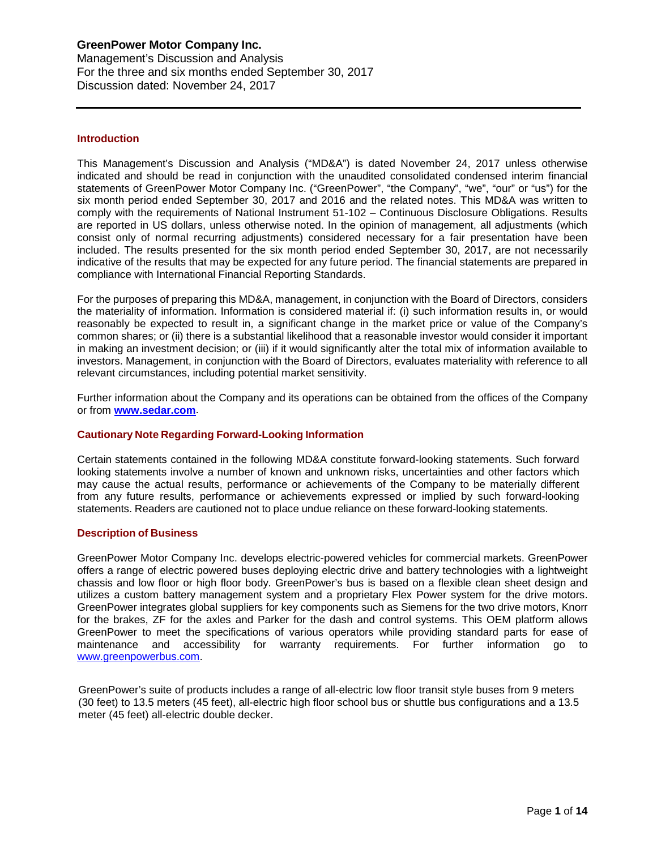### **Introduction**

This Management's Discussion and Analysis ("MD&A") is dated November 24, 2017 unless otherwise indicated and should be read in conjunction with the unaudited consolidated condensed interim financial statements of GreenPower Motor Company Inc. ("GreenPower", "the Company", "we", "our" or "us") for the six month period ended September 30, 2017 and 2016 and the related notes. This MD&A was written to comply with the requirements of National Instrument 51-102 – Continuous Disclosure Obligations. Results are reported in US dollars, unless otherwise noted. In the opinion of management, all adjustments (which consist only of normal recurring adjustments) considered necessary for a fair presentation have been included. The results presented for the six month period ended September 30, 2017, are not necessarily indicative of the results that may be expected for any future period. The financial statements are prepared in compliance with International Financial Reporting Standards.

For the purposes of preparing this MD&A, management, in conjunction with the Board of Directors, considers the materiality of information. Information is considered material if: (i) such information results in, or would reasonably be expected to result in, a significant change in the market price or value of the Company's common shares; or (ii) there is a substantial likelihood that a reasonable investor would consider it important in making an investment decision; or (iii) if it would significantly alter the total mix of information available to investors. Management, in conjunction with the Board of Directors, evaluates materiality with reference to all relevant circumstances, including potential market sensitivity.

Further information about the Company and its operations can be obtained from the offices of the Company or from **[www.sedar.com](http://www.sedar.com/)**.

### **Cautionary Note Regarding Forward-Looking Information**

Certain statements contained in the following MD&A constitute forward-looking statements. Such forward looking statements involve a number of known and unknown risks, uncertainties and other factors which may cause the actual results, performance or achievements of the Company to be materially different from any future results, performance or achievements expressed or implied by such forward-looking statements. Readers are cautioned not to place undue reliance on these forward-looking statements.

#### **Description of Business**

GreenPower Motor Company Inc. develops electric-powered vehicles for commercial markets. GreenPower offers a range of electric powered buses deploying electric drive and battery technologies with a lightweight chassis and low floor or high floor body. GreenPower's bus is based on a flexible clean sheet design and utilizes a custom battery management system and a proprietary Flex Power system for the drive motors. GreenPower integrates global suppliers for key components such as Siemens for the two drive motors, Knorr for the brakes, ZF for the axles and Parker for the dash and control systems. This OEM platform allows GreenPower to meet the specifications of various operators while providing standard parts for ease of maintenance and accessibility for warranty requirements. For further information go to [www.greenpowerbus.com.](http://www.greenpowerbus.com/)

GreenPower's suite of products includes a range of all-electric low floor transit style buses from 9 meters (30 feet) to 13.5 meters (45 feet), all-electric high floor school bus or shuttle bus configurations and a 13.5 meter (45 feet) all-electric double decker.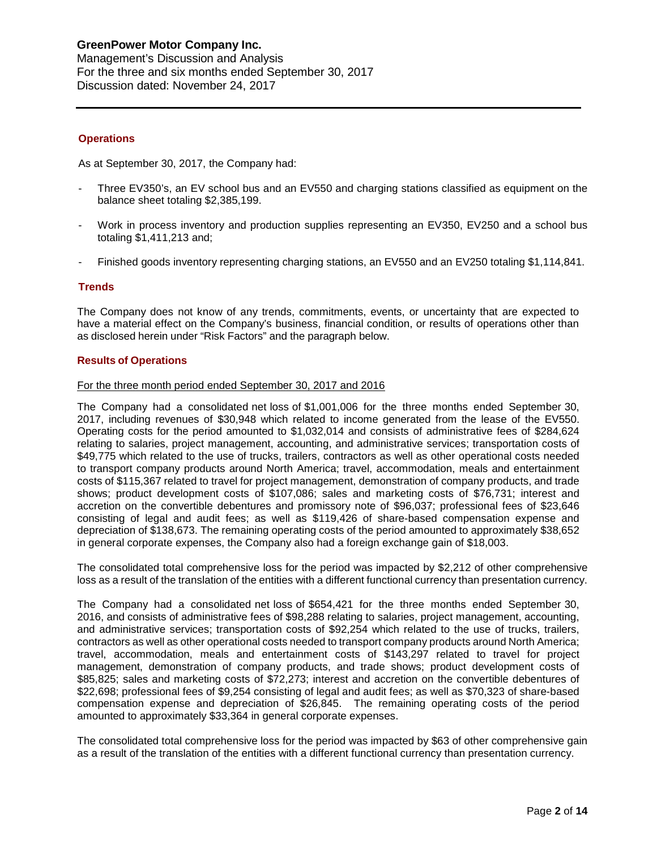### **GreenPower Motor Company Inc.** Management's Discussion and Analysis

For the three and six months ended September 30, 2017 Discussion dated: November 24, 2017

## **Operations**

As at September 30, 2017, the Company had:

- Three EV350's, an EV school bus and an EV550 and charging stations classified as equipment on the balance sheet totaling \$2,385,199.
- Work in process inventory and production supplies representing an EV350, EV250 and a school bus totaling \$1,411,213 and;
- Finished goods inventory representing charging stations, an EV550 and an EV250 totaling \$1,114,841.

## **Trends**

The Company does not know of any trends, commitments, events, or uncertainty that are expected to have a material effect on the Company's business, financial condition, or results of operations other than as disclosed herein under "Risk Factors" and the paragraph below.

### **Results of Operations**

### For the three month period ended September 30, 2017 and 2016

The Company had a consolidated net loss of \$1,001,006 for the three months ended September 30, 2017, including revenues of \$30,948 which related to income generated from the lease of the EV550. Operating costs for the period amounted to \$1,032,014 and consists of administrative fees of \$284,624 relating to salaries, project management, accounting, and administrative services; transportation costs of \$49,775 which related to the use of trucks, trailers, contractors as well as other operational costs needed to transport company products around North America; travel, accommodation, meals and entertainment costs of \$115,367 related to travel for project management, demonstration of company products, and trade shows; product development costs of \$107,086; sales and marketing costs of \$76,731; interest and accretion on the convertible debentures and promissory note of \$96,037; professional fees of \$23,646 consisting of legal and audit fees; as well as \$119,426 of share-based compensation expense and depreciation of \$138,673. The remaining operating costs of the period amounted to approximately \$38,652 in general corporate expenses, the Company also had a foreign exchange gain of \$18,003.

The consolidated total comprehensive loss for the period was impacted by \$2,212 of other comprehensive loss as a result of the translation of the entities with a different functional currency than presentation currency.

The Company had a consolidated net loss of \$654,421 for the three months ended September 30, 2016, and consists of administrative fees of \$98,288 relating to salaries, project management, accounting, and administrative services; transportation costs of \$92,254 which related to the use of trucks, trailers, contractors as well as other operational costs needed to transport company products around North America; travel, accommodation, meals and entertainment costs of \$143,297 related to travel for project management, demonstration of company products, and trade shows; product development costs of \$85,825; sales and marketing costs of \$72,273; interest and accretion on the convertible debentures of \$22,698; professional fees of \$9,254 consisting of legal and audit fees; as well as \$70,323 of share-based compensation expense and depreciation of \$26,845. The remaining operating costs of the period amounted to approximately \$33,364 in general corporate expenses.

The consolidated total comprehensive loss for the period was impacted by \$63 of other comprehensive gain as a result of the translation of the entities with a different functional currency than presentation currency.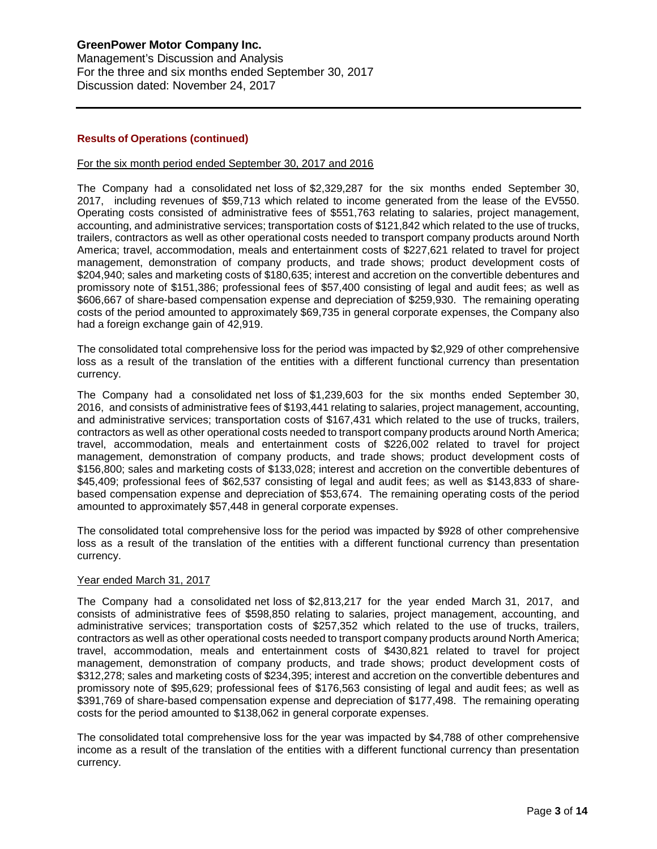Management's Discussion and Analysis For the three and six months ended September 30, 2017 Discussion dated: November 24, 2017

## **Results of Operations (continued)**

### For the six month period ended September 30, 2017 and 2016

The Company had a consolidated net loss of \$2,329,287 for the six months ended September 30, 2017, including revenues of \$59,713 which related to income generated from the lease of the EV550. Operating costs consisted of administrative fees of \$551,763 relating to salaries, project management, accounting, and administrative services; transportation costs of \$121,842 which related to the use of trucks, trailers, contractors as well as other operational costs needed to transport company products around North America; travel, accommodation, meals and entertainment costs of \$227,621 related to travel for project management, demonstration of company products, and trade shows; product development costs of \$204,940; sales and marketing costs of \$180,635; interest and accretion on the convertible debentures and promissory note of \$151,386; professional fees of \$57,400 consisting of legal and audit fees; as well as \$606,667 of share-based compensation expense and depreciation of \$259,930. The remaining operating costs of the period amounted to approximately \$69,735 in general corporate expenses, the Company also had a foreign exchange gain of 42,919.

The consolidated total comprehensive loss for the period was impacted by \$2,929 of other comprehensive loss as a result of the translation of the entities with a different functional currency than presentation currency.

The Company had a consolidated net loss of \$1,239,603 for the six months ended September 30, 2016, and consists of administrative fees of \$193,441 relating to salaries, project management, accounting, and administrative services; transportation costs of \$167,431 which related to the use of trucks, trailers, contractors as well as other operational costs needed to transport company products around North America; travel, accommodation, meals and entertainment costs of \$226,002 related to travel for project management, demonstration of company products, and trade shows; product development costs of \$156,800; sales and marketing costs of \$133,028; interest and accretion on the convertible debentures of \$45,409; professional fees of \$62,537 consisting of legal and audit fees; as well as \$143,833 of sharebased compensation expense and depreciation of \$53,674. The remaining operating costs of the period amounted to approximately \$57,448 in general corporate expenses.

The consolidated total comprehensive loss for the period was impacted by \$928 of other comprehensive loss as a result of the translation of the entities with a different functional currency than presentation currency.

### Year ended March 31, 2017

The Company had a consolidated net loss of \$2,813,217 for the year ended March 31, 2017, and consists of administrative fees of \$598,850 relating to salaries, project management, accounting, and administrative services; transportation costs of \$257,352 which related to the use of trucks, trailers, contractors as well as other operational costs needed to transport company products around North America; travel, accommodation, meals and entertainment costs of \$430,821 related to travel for project management, demonstration of company products, and trade shows; product development costs of \$312,278; sales and marketing costs of \$234,395; interest and accretion on the convertible debentures and promissory note of \$95,629; professional fees of \$176,563 consisting of legal and audit fees; as well as \$391,769 of share-based compensation expense and depreciation of \$177,498. The remaining operating costs for the period amounted to \$138,062 in general corporate expenses.

The consolidated total comprehensive loss for the year was impacted by \$4,788 of other comprehensive income as a result of the translation of the entities with a different functional currency than presentation currency.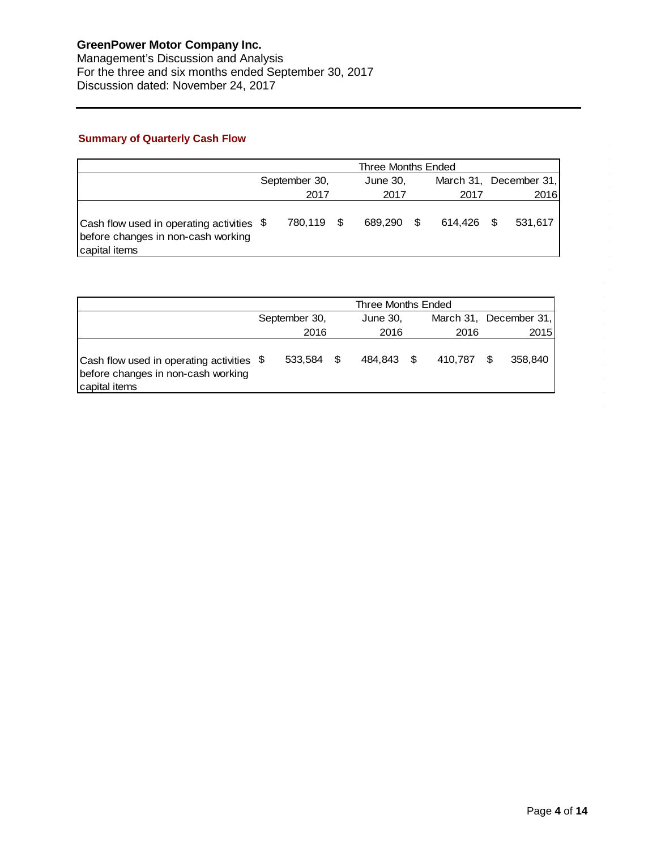# **Summary of Quarterly Cash Flow**

|                                                                                                  |               | Three Months Ended |            |                        |
|--------------------------------------------------------------------------------------------------|---------------|--------------------|------------|------------------------|
|                                                                                                  | September 30, | June 30,           |            | March 31, December 31, |
|                                                                                                  | 2017          | 2017               | 2017       | 2016                   |
| Cash flow used in operating activities \$<br>before changes in non-cash working<br>capital items | 780,119 \$    | 689.290 \$         | 614.426 \$ | 531.617                |

|                                                                                                  |               | Three Months Ended |         |      |                        |
|--------------------------------------------------------------------------------------------------|---------------|--------------------|---------|------|------------------------|
|                                                                                                  | September 30, | June 30,           |         |      | March 31, December 31, |
|                                                                                                  | 2016          | 2016               | 2016    |      | 2015                   |
| Cash flow used in operating activities \$<br>before changes in non-cash working<br>capital items | 533.584 \$    | 484.843 \$         | 410.787 | - \$ | 358,840                |

 $\hat{\mathcal{L}}$ 

 $\hat{\mathcal{L}}$ 

 $\mathcal{A}^{\mathcal{A}}$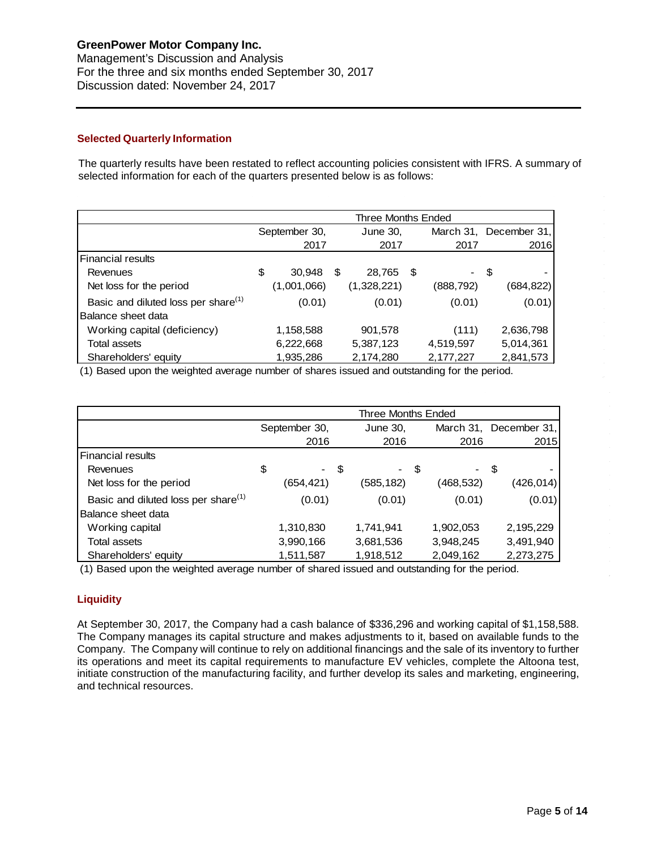Management's Discussion and Analysis For the three and six months ended September 30, 2017 Discussion dated: November 24, 2017

## **Selected Quarterly Information**

The quarterly results have been restated to reflect accounting policies consistent with IFRS. A summary of selected information for each of the quarters presented below is as follows:

|                                                 |               | Three Months Ended |     |            |              |
|-------------------------------------------------|---------------|--------------------|-----|------------|--------------|
|                                                 | September 30, | June 30,           |     | March 31,  | December 31. |
|                                                 | 2017          | 2017               |     | 2017       | 2016         |
| <b>Financial results</b>                        |               |                    |     |            |              |
| Revenues                                        | \$<br>30,948  | \$<br>28,765       | -\$ | - \$       |              |
| Net loss for the period                         | (1,001,066)   | (1,328,221)        |     | (888, 792) | (684,822)    |
| Basic and diluted loss per share <sup>(1)</sup> | (0.01)        | (0.01)             |     | (0.01)     | (0.01)       |
| Balance sheet data                              |               |                    |     |            |              |
| Working capital (deficiency)                    | 1,158,588     | 901,578            |     | (111)      | 2,636,798    |
| Total assets                                    | 6,222,668     | 5,387,123          |     | 4,519,597  | 5,014,361    |
| Shareholders' equity                            | 1,935,286     | 2,174,280          |     | 2,177,227  | 2,841,573    |

(1) Based upon the weighted average number of shares issued and outstanding for the period.

|                                                 |               |      | Three Months Ended |           |      |                        |
|-------------------------------------------------|---------------|------|--------------------|-----------|------|------------------------|
|                                                 | September 30, |      | June 30,           |           |      | March 31, December 31, |
|                                                 | 2016          |      | 2016               | 2016      |      | 2015                   |
| <b>Financial results</b>                        |               |      |                    |           |      |                        |
| Revenues                                        | \$            | - \$ | - \$               |           | - \$ |                        |
| Net loss for the period                         | (654,421)     |      | (585, 182)         | (468,532) |      | (426, 014)             |
| Basic and diluted loss per share <sup>(1)</sup> | (0.01)        |      | (0.01)             | (0.01)    |      | (0.01)                 |
| Balance sheet data                              |               |      |                    |           |      |                        |
| Working capital                                 | 1,310,830     |      | 1,741,941          | 1,902,053 |      | 2,195,229              |
| Total assets                                    | 3,990,166     |      | 3,681,536          | 3,948,245 |      | 3,491,940              |
| Shareholders' equity                            | 1,511,587     |      | 1,918,512          | 2,049,162 |      | 2,273,275              |

(1) Based upon the weighted average number of shared issued and outstanding for the period.

## **Liquidity**

At September 30, 2017, the Company had a cash balance of \$336,296 and working capital of \$1,158,588. The Company manages its capital structure and makes adjustments to it, based on available funds to the Company. The Company will continue to rely on additional financings and the sale of its inventory to further its operations and meet its capital requirements to manufacture EV vehicles, complete the Altoona test, initiate construction of the manufacturing facility, and further develop its sales and marketing, engineering, and technical resources.

 $\alpha$ 

 $\hat{\boldsymbol{\beta}}$  $\bar{z}$ 

 $\sim$ 

 $\bar{\bar{z}}$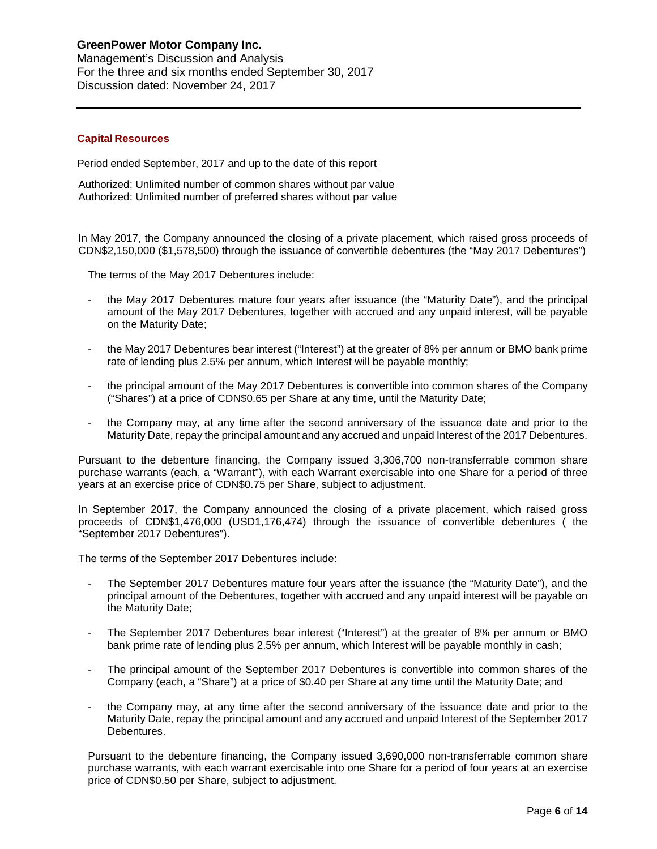Management's Discussion and Analysis For the three and six months ended September 30, 2017 Discussion dated: November 24, 2017

#### **Capital Resources**

Period ended September, 2017 and up to the date of this report

Authorized: Unlimited number of common shares without par value Authorized: Unlimited number of preferred shares without par value

In May 2017, the Company announced the closing of a private placement, which raised gross proceeds of CDN\$2,150,000 (\$1,578,500) through the issuance of convertible debentures (the "May 2017 Debentures")

The terms of the May 2017 Debentures include:

- the May 2017 Debentures mature four years after issuance (the "Maturity Date"), and the principal amount of the May 2017 Debentures, together with accrued and any unpaid interest, will be payable on the Maturity Date;
- the May 2017 Debentures bear interest ("Interest") at the greater of 8% per annum or BMO bank prime rate of lending plus 2.5% per annum, which Interest will be payable monthly;
- the principal amount of the May 2017 Debentures is convertible into common shares of the Company ("Shares") at a price of CDN\$0.65 per Share at any time, until the Maturity Date;
- the Company may, at any time after the second anniversary of the issuance date and prior to the Maturity Date, repay the principal amount and any accrued and unpaid Interest of the 2017 Debentures.

Pursuant to the debenture financing, the Company issued 3,306,700 non-transferrable common share purchase warrants (each, a "Warrant"), with each Warrant exercisable into one Share for a period of three years at an exercise price of CDN\$0.75 per Share, subject to adjustment.

In September 2017, the Company announced the closing of a private placement, which raised gross proceeds of CDN\$1,476,000 (USD1,176,474) through the issuance of convertible debentures ( the "September 2017 Debentures").

The terms of the September 2017 Debentures include:

- The September 2017 Debentures mature four years after the issuance (the "Maturity Date"), and the principal amount of the Debentures, together with accrued and any unpaid interest will be payable on the Maturity Date;
- The September 2017 Debentures bear interest ("Interest") at the greater of 8% per annum or BMO bank prime rate of lending plus 2.5% per annum, which Interest will be payable monthly in cash;
- The principal amount of the September 2017 Debentures is convertible into common shares of the Company (each, a "Share") at a price of \$0.40 per Share at any time until the Maturity Date; and
- the Company may, at any time after the second anniversary of the issuance date and prior to the Maturity Date, repay the principal amount and any accrued and unpaid Interest of the September 2017 Debentures.

Pursuant to the debenture financing, the Company issued 3,690,000 non-transferrable common share purchase warrants, with each warrant exercisable into one Share for a period of four years at an exercise price of CDN\$0.50 per Share, subject to adjustment.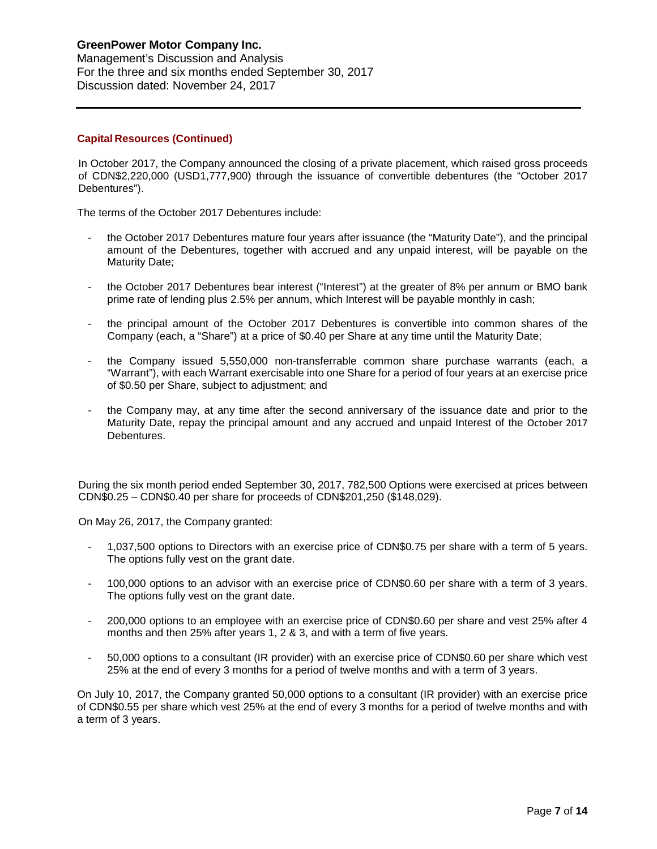Management's Discussion and Analysis For the three and six months ended September 30, 2017 Discussion dated: November 24, 2017

## **Capital Resources (Continued)**

In October 2017, the Company announced the closing of a private placement, which raised gross proceeds of CDN\$2,220,000 (USD1,777,900) through the issuance of convertible debentures (the "October 2017 Debentures").

The terms of the October 2017 Debentures include:

- the October 2017 Debentures mature four years after issuance (the "Maturity Date"), and the principal amount of the Debentures, together with accrued and any unpaid interest, will be payable on the Maturity Date;
- the October 2017 Debentures bear interest ("Interest") at the greater of 8% per annum or BMO bank prime rate of lending plus 2.5% per annum, which Interest will be payable monthly in cash;
- the principal amount of the October 2017 Debentures is convertible into common shares of the Company (each, a "Share") at a price of \$0.40 per Share at any time until the Maturity Date;
- the Company issued 5,550,000 non-transferrable common share purchase warrants (each, a "Warrant"), with each Warrant exercisable into one Share for a period of four years at an exercise price of \$0.50 per Share, subject to adjustment; and
- the Company may, at any time after the second anniversary of the issuance date and prior to the Maturity Date, repay the principal amount and any accrued and unpaid Interest of the October 2017 Debentures.

During the six month period ended September 30, 2017, 782,500 Options were exercised at prices between CDN\$0.25 – CDN\$0.40 per share for proceeds of CDN\$201,250 (\$148,029).

On May 26, 2017, the Company granted:

- 1,037,500 options to Directors with an exercise price of CDN\$0.75 per share with a term of 5 years. The options fully vest on the grant date.
- 100,000 options to an advisor with an exercise price of CDN\$0.60 per share with a term of 3 years. The options fully vest on the grant date.
- 200,000 options to an employee with an exercise price of CDN\$0.60 per share and vest 25% after 4 months and then 25% after years 1, 2 & 3, and with a term of five years.
- 50,000 options to a consultant (IR provider) with an exercise price of CDN\$0.60 per share which vest 25% at the end of every 3 months for a period of twelve months and with a term of 3 years.

On July 10, 2017, the Company granted 50,000 options to a consultant (IR provider) with an exercise price of CDN\$0.55 per share which vest 25% at the end of every 3 months for a period of twelve months and with a term of 3 years.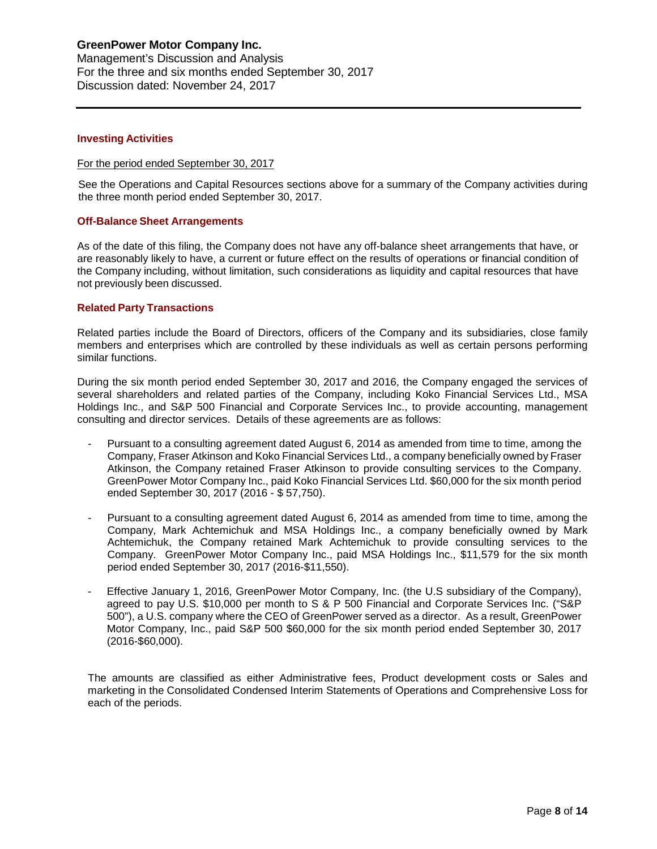Management's Discussion and Analysis For the three and six months ended September 30, 2017 Discussion dated: November 24, 2017

#### **Investing Activities**

#### For the period ended September 30, 2017

See the Operations and Capital Resources sections above for a summary of the Company activities during the three month period ended September 30, 2017.

### **Off-Balance Sheet Arrangements**

As of the date of this filing, the Company does not have any off-balance sheet arrangements that have, or are reasonably likely to have, a current or future effect on the results of operations or financial condition of the Company including, without limitation, such considerations as liquidity and capital resources that have not previously been discussed.

### **Related Party Transactions**

Related parties include the Board of Directors, officers of the Company and its subsidiaries, close family members and enterprises which are controlled by these individuals as well as certain persons performing similar functions.

During the six month period ended September 30, 2017 and 2016, the Company engaged the services of several shareholders and related parties of the Company, including Koko Financial Services Ltd., MSA Holdings Inc., and S&P 500 Financial and Corporate Services Inc., to provide accounting, management consulting and director services. Details of these agreements are as follows:

- Pursuant to a consulting agreement dated August 6, 2014 as amended from time to time, among the Company, Fraser Atkinson and Koko Financial Services Ltd., a company beneficially owned by Fraser Atkinson, the Company retained Fraser Atkinson to provide consulting services to the Company. GreenPower Motor Company Inc., paid Koko Financial Services Ltd. \$60,000 for the six month period ended September 30, 2017 (2016 - \$ 57,750).
- Pursuant to a consulting agreement dated August 6, 2014 as amended from time to time, among the Company, Mark Achtemichuk and MSA Holdings Inc., a company beneficially owned by Mark Achtemichuk, the Company retained Mark Achtemichuk to provide consulting services to the Company. GreenPower Motor Company Inc., paid MSA Holdings Inc., \$11,579 for the six month period ended September 30, 2017 (2016-\$11,550).
- Effective January 1, 2016, GreenPower Motor Company, Inc. (the U.S subsidiary of the Company), agreed to pay U.S. \$10,000 per month to S & P 500 Financial and Corporate Services Inc. ("S&P 500"), a U.S. company where the CEO of GreenPower served as a director. As a result, GreenPower Motor Company, Inc., paid S&P 500 \$60,000 for the six month period ended September 30, 2017 (2016-\$60,000).

The amounts are classified as either Administrative fees, Product development costs or Sales and marketing in the Consolidated Condensed Interim Statements of Operations and Comprehensive Loss for each of the periods.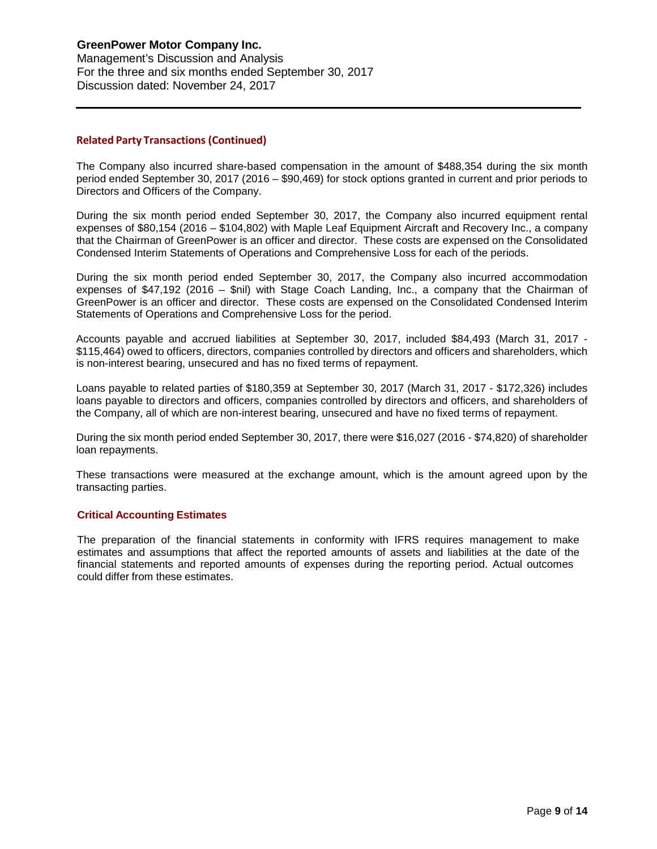Management's Discussion and Analysis For the three and six months ended September 30, 2017 Discussion dated: November 24, 2017

### **Related Party Transactions (Continued)**

The Company also incurred share-based compensation in the amount of \$488,354 during the six month period ended September 30, 2017 (2016 – \$90,469) for stock options granted in current and prior periods to Directors and Officers of the Company.

During the six month period ended September 30, 2017, the Company also incurred equipment rental expenses of \$80,154 (2016 – \$104,802) with Maple Leaf Equipment Aircraft and Recovery Inc., a company that the Chairman of GreenPower is an officer and director. These costs are expensed on the Consolidated Condensed Interim Statements of Operations and Comprehensive Loss for each of the periods.

During the six month period ended September 30, 2017, the Company also incurred accommodation expenses of \$47,192 (2016 – \$nil) with Stage Coach Landing, Inc., a company that the Chairman of GreenPower is an officer and director. These costs are expensed on the Consolidated Condensed Interim Statements of Operations and Comprehensive Loss for the period.

Accounts payable and accrued liabilities at September 30, 2017, included \$84,493 (March 31, 2017 - \$115,464) owed to officers, directors, companies controlled by directors and officers and shareholders, which is non-interest bearing, unsecured and has no fixed terms of repayment.

Loans payable to related parties of \$180,359 at September 30, 2017 (March 31, 2017 - \$172,326) includes loans payable to directors and officers, companies controlled by directors and officers, and shareholders of the Company, all of which are non-interest bearing, unsecured and have no fixed terms of repayment.

During the six month period ended September 30, 2017, there were \$16,027 (2016 - \$74,820) of shareholder loan repayments.

These transactions were measured at the exchange amount, which is the amount agreed upon by the transacting parties.

### **Critical Accounting Estimates**

The preparation of the financial statements in conformity with IFRS requires management to make estimates and assumptions that affect the reported amounts of assets and liabilities at the date of the financial statements and reported amounts of expenses during the reporting period. Actual outcomes could differ from these estimates.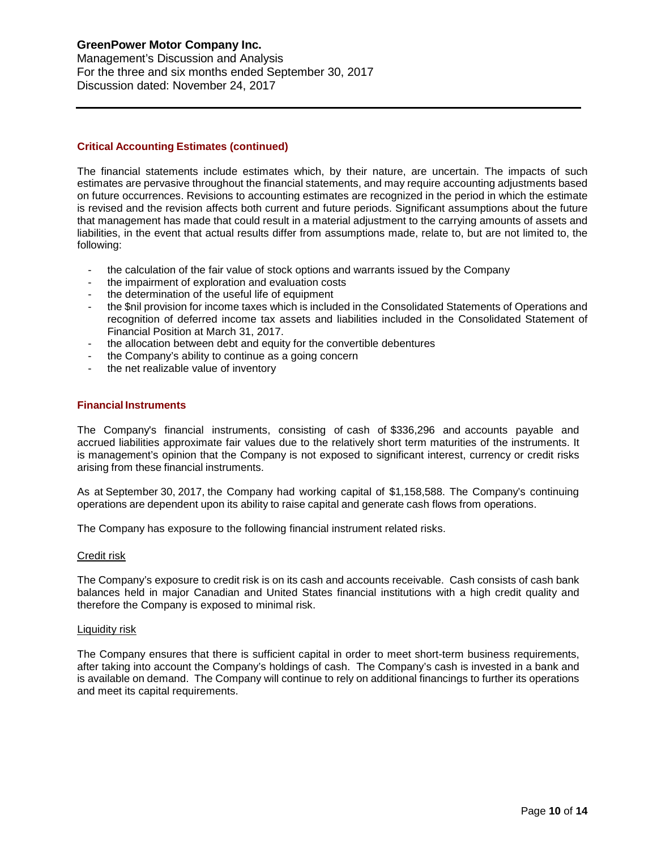Management's Discussion and Analysis For the three and six months ended September 30, 2017 Discussion dated: November 24, 2017

## **Critical Accounting Estimates (continued)**

The financial statements include estimates which, by their nature, are uncertain. The impacts of such estimates are pervasive throughout the financial statements, and may require accounting adjustments based on future occurrences. Revisions to accounting estimates are recognized in the period in which the estimate is revised and the revision affects both current and future periods. Significant assumptions about the future that management has made that could result in a material adjustment to the carrying amounts of assets and liabilities, in the event that actual results differ from assumptions made, relate to, but are not limited to, the following:

- the calculation of the fair value of stock options and warrants issued by the Company
- the impairment of exploration and evaluation costs
- the determination of the useful life of equipment
- the \$nil provision for income taxes which is included in the Consolidated Statements of Operations and recognition of deferred income tax assets and liabilities included in the Consolidated Statement of Financial Position at March 31, 2017.
- the allocation between debt and equity for the convertible debentures
- the Company's ability to continue as a going concern
- the net realizable value of inventory

#### **Financial Instruments**

The Company's financial instruments, consisting of cash of \$336,296 and accounts payable and accrued liabilities approximate fair values due to the relatively short term maturities of the instruments. It is management's opinion that the Company is not exposed to significant interest, currency or credit risks arising from these financial instruments.

As at September 30, 2017, the Company had working capital of \$1,158,588. The Company's continuing operations are dependent upon its ability to raise capital and generate cash flows from operations.

The Company has exposure to the following financial instrument related risks.

#### Credit risk

The Company's exposure to credit risk is on its cash and accounts receivable. Cash consists of cash bank balances held in major Canadian and United States financial institutions with a high credit quality and therefore the Company is exposed to minimal risk.

#### Liquidity risk

The Company ensures that there is sufficient capital in order to meet short-term business requirements, after taking into account the Company's holdings of cash. The Company's cash is invested in a bank and is available on demand. The Company will continue to rely on additional financings to further its operations and meet its capital requirements.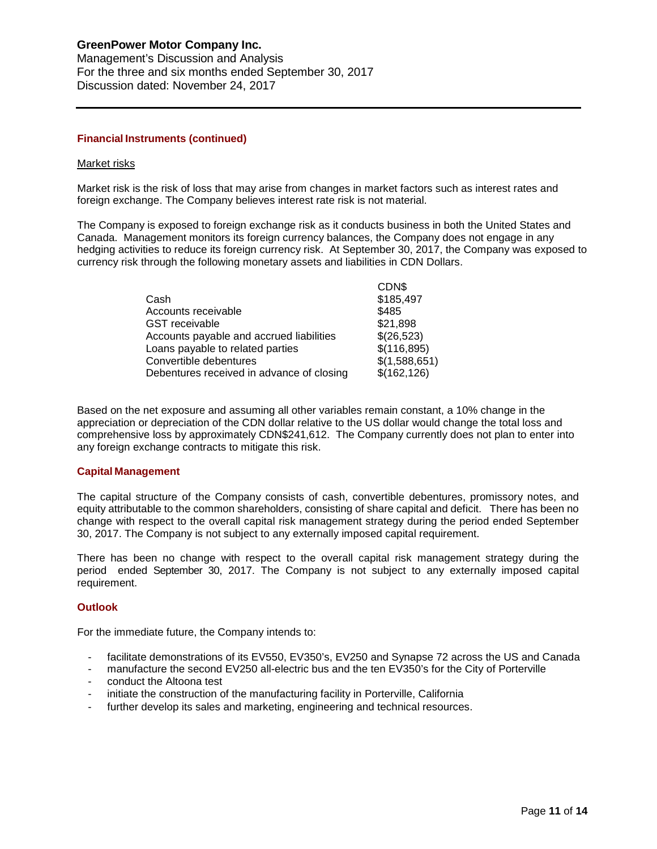Management's Discussion and Analysis For the three and six months ended September 30, 2017 Discussion dated: November 24, 2017

### **Financial Instruments (continued)**

#### Market risks

Market risk is the risk of loss that may arise from changes in market factors such as interest rates and foreign exchange. The Company believes interest rate risk is not material.

The Company is exposed to foreign exchange risk as it conducts business in both the United States and Canada. Management monitors its foreign currency balances, the Company does not engage in any hedging activities to reduce its foreign currency risk. At September 30, 2017, the Company was exposed to currency risk through the following monetary assets and liabilities in CDN Dollars.

|                                           | CDN\$         |
|-------------------------------------------|---------------|
| Cash                                      | \$185,497     |
| Accounts receivable                       | \$485         |
| <b>GST</b> receivable                     | \$21,898      |
| Accounts payable and accrued liabilities  | \$(26,523)    |
| Loans payable to related parties          | \$(116,895)   |
| Convertible debentures                    | \$(1,588,651) |
| Debentures received in advance of closing | \$(162, 126)  |
|                                           |               |

Based on the net exposure and assuming all other variables remain constant, a 10% change in the appreciation or depreciation of the CDN dollar relative to the US dollar would change the total loss and comprehensive loss by approximately CDN\$241,612. The Company currently does not plan to enter into any foreign exchange contracts to mitigate this risk.

### **Capital Management**

The capital structure of the Company consists of cash, convertible debentures, promissory notes, and equity attributable to the common shareholders, consisting of share capital and deficit. There has been no change with respect to the overall capital risk management strategy during the period ended September 30, 2017. The Company is not subject to any externally imposed capital requirement.

There has been no change with respect to the overall capital risk management strategy during the period ended September 30, 2017. The Company is not subject to any externally imposed capital requirement.

### **Outlook**

For the immediate future, the Company intends to:

- facilitate demonstrations of its EV550, EV350's, EV250 and Synapse 72 across the US and Canada
- manufacture the second EV250 all-electric bus and the ten EV350's for the City of Porterville
- conduct the Altoona test
- initiate the construction of the manufacturing facility in Porterville, California
- further develop its sales and marketing, engineering and technical resources.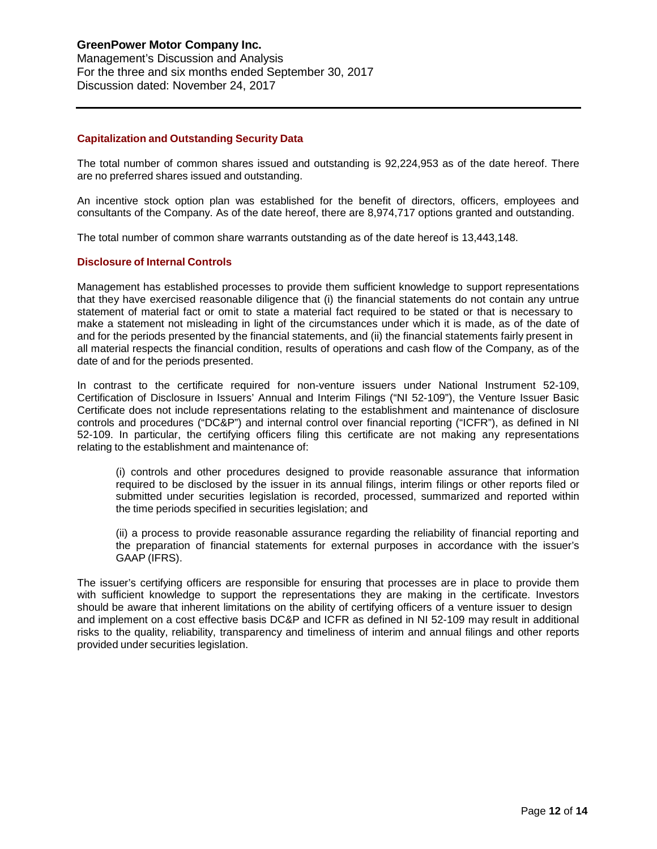#### **Capitalization and Outstanding Security Data**

The total number of common shares issued and outstanding is 92,224,953 as of the date hereof. There are no preferred shares issued and outstanding.

An incentive stock option plan was established for the benefit of directors, officers, employees and consultants of the Company. As of the date hereof, there are 8,974,717 options granted and outstanding.

The total number of common share warrants outstanding as of the date hereof is 13,443,148.

### **Disclosure of Internal Controls**

Management has established processes to provide them sufficient knowledge to support representations that they have exercised reasonable diligence that (i) the financial statements do not contain any untrue statement of material fact or omit to state a material fact required to be stated or that is necessary to make a statement not misleading in light of the circumstances under which it is made, as of the date of and for the periods presented by the financial statements, and (ii) the financial statements fairly present in all material respects the financial condition, results of operations and cash flow of the Company, as of the date of and for the periods presented.

In contrast to the certificate required for non-venture issuers under National Instrument 52-109, Certification of Disclosure in Issuers' Annual and Interim Filings ("NI 52-109"), the Venture Issuer Basic Certificate does not include representations relating to the establishment and maintenance of disclosure controls and procedures ("DC&P") and internal control over financial reporting ("ICFR"), as defined in NI 52-109. In particular, the certifying officers filing this certificate are not making any representations relating to the establishment and maintenance of:

(i) controls and other procedures designed to provide reasonable assurance that information required to be disclosed by the issuer in its annual filings, interim filings or other reports filed or submitted under securities legislation is recorded, processed, summarized and reported within the time periods specified in securities legislation; and

(ii) a process to provide reasonable assurance regarding the reliability of financial reporting and the preparation of financial statements for external purposes in accordance with the issuer's GAAP (IFRS).

The issuer's certifying officers are responsible for ensuring that processes are in place to provide them with sufficient knowledge to support the representations they are making in the certificate. Investors should be aware that inherent limitations on the ability of certifying officers of a venture issuer to design and implement on a cost effective basis DC&P and ICFR as defined in NI 52-109 may result in additional risks to the quality, reliability, transparency and timeliness of interim and annual filings and other reports provided under securities legislation.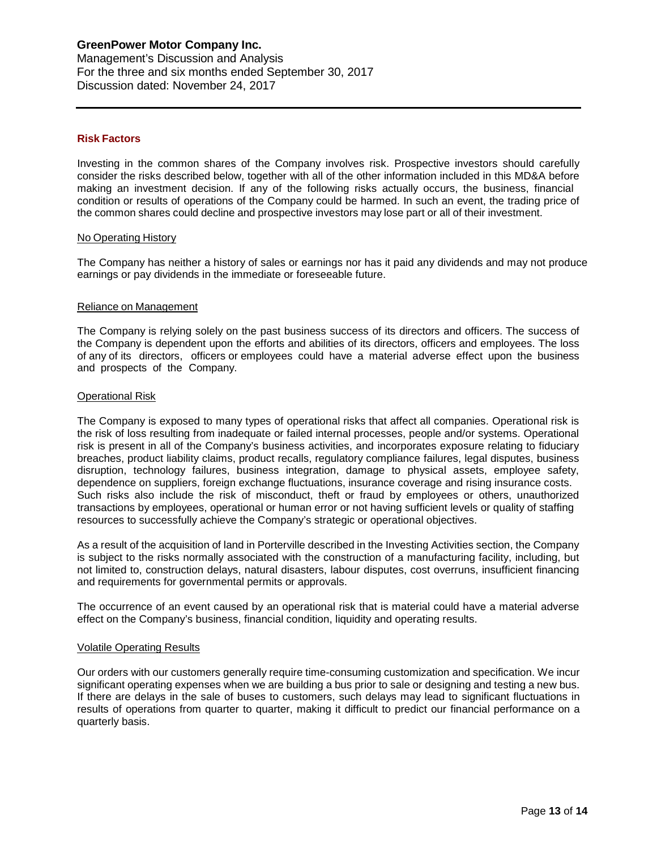#### **Risk Factors**

Investing in the common shares of the Company involves risk. Prospective investors should carefully consider the risks described below, together with all of the other information included in this MD&A before making an investment decision. If any of the following risks actually occurs, the business, financial condition or results of operations of the Company could be harmed. In such an event, the trading price of the common shares could decline and prospective investors may lose part or all of their investment.

#### No Operating History

The Company has neither a history of sales or earnings nor has it paid any dividends and may not produce earnings or pay dividends in the immediate or foreseeable future.

#### Reliance on Management

The Company is relying solely on the past business success of its directors and officers. The success of the Company is dependent upon the efforts and abilities of its directors, officers and employees. The loss of any of its directors, officers or employees could have a material adverse effect upon the business and prospects of the Company.

#### Operational Risk

The Company is exposed to many types of operational risks that affect all companies. Operational risk is the risk of loss resulting from inadequate or failed internal processes, people and/or systems. Operational risk is present in all of the Company's business activities, and incorporates exposure relating to fiduciary breaches, product liability claims, product recalls, regulatory compliance failures, legal disputes, business disruption, technology failures, business integration, damage to physical assets, employee safety, dependence on suppliers, foreign exchange fluctuations, insurance coverage and rising insurance costs. Such risks also include the risk of misconduct, theft or fraud by employees or others, unauthorized transactions by employees, operational or human error or not having sufficient levels or quality of staffing resources to successfully achieve the Company's strategic or operational objectives.

As a result of the acquisition of land in Porterville described in the Investing Activities section, the Company is subject to the risks normally associated with the construction of a manufacturing facility, including, but not limited to, construction delays, natural disasters, labour disputes, cost overruns, insufficient financing and requirements for governmental permits or approvals.

The occurrence of an event caused by an operational risk that is material could have a material adverse effect on the Company's business, financial condition, liquidity and operating results.

#### Volatile Operating Results

Our orders with our customers generally require time-consuming customization and specification. We incur significant operating expenses when we are building a bus prior to sale or designing and testing a new bus. If there are delays in the sale of buses to customers, such delays may lead to significant fluctuations in results of operations from quarter to quarter, making it difficult to predict our financial performance on a quarterly basis.